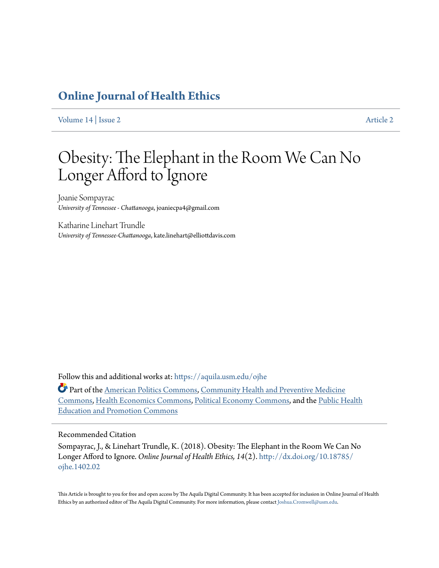## **[Online Journal of Health Ethics](https://aquila.usm.edu/ojhe?utm_source=aquila.usm.edu%2Fojhe%2Fvol14%2Fiss2%2F2&utm_medium=PDF&utm_campaign=PDFCoverPages)**

[Volume 14](https://aquila.usm.edu/ojhe/vol14?utm_source=aquila.usm.edu%2Fojhe%2Fvol14%2Fiss2%2F2&utm_medium=PDF&utm_campaign=PDFCoverPages) | [Issue 2](https://aquila.usm.edu/ojhe/vol14/iss2?utm_source=aquila.usm.edu%2Fojhe%2Fvol14%2Fiss2%2F2&utm_medium=PDF&utm_campaign=PDFCoverPages) [Article 2](https://aquila.usm.edu/ojhe/vol14/iss2/2?utm_source=aquila.usm.edu%2Fojhe%2Fvol14%2Fiss2%2F2&utm_medium=PDF&utm_campaign=PDFCoverPages) Article 2 Article 2 Article 2 Article 2 Article 2 Article 2 Article 2 Article 2

# Obesity: The Elephant in the Room We Can No Longer Afford to Ignore

Joanie Sompayrac *University of Tennessee - Chattanooga*, joaniecpa4@gmail.com

Katharine Linehart Trundle *University of Tennessee-Chattanooga*, kate.linehart@elliottdavis.com

Follow this and additional works at: [https://aquila.usm.edu/ojhe](https://aquila.usm.edu/ojhe?utm_source=aquila.usm.edu%2Fojhe%2Fvol14%2Fiss2%2F2&utm_medium=PDF&utm_campaign=PDFCoverPages)

Part of the [American Politics Commons](http://network.bepress.com/hgg/discipline/387?utm_source=aquila.usm.edu%2Fojhe%2Fvol14%2Fiss2%2F2&utm_medium=PDF&utm_campaign=PDFCoverPages), [Community Health and Preventive Medicine](http://network.bepress.com/hgg/discipline/744?utm_source=aquila.usm.edu%2Fojhe%2Fvol14%2Fiss2%2F2&utm_medium=PDF&utm_campaign=PDFCoverPages) [Commons,](http://network.bepress.com/hgg/discipline/744?utm_source=aquila.usm.edu%2Fojhe%2Fvol14%2Fiss2%2F2&utm_medium=PDF&utm_campaign=PDFCoverPages) [Health Economics Commons,](http://network.bepress.com/hgg/discipline/1085?utm_source=aquila.usm.edu%2Fojhe%2Fvol14%2Fiss2%2F2&utm_medium=PDF&utm_campaign=PDFCoverPages) [Political Economy Commons,](http://network.bepress.com/hgg/discipline/352?utm_source=aquila.usm.edu%2Fojhe%2Fvol14%2Fiss2%2F2&utm_medium=PDF&utm_campaign=PDFCoverPages) and the [Public Health](http://network.bepress.com/hgg/discipline/743?utm_source=aquila.usm.edu%2Fojhe%2Fvol14%2Fiss2%2F2&utm_medium=PDF&utm_campaign=PDFCoverPages) [Education and Promotion Commons](http://network.bepress.com/hgg/discipline/743?utm_source=aquila.usm.edu%2Fojhe%2Fvol14%2Fiss2%2F2&utm_medium=PDF&utm_campaign=PDFCoverPages)

#### Recommended Citation

Sompayrac, J., & Linehart Trundle, K. (2018). Obesity: The Elephant in the Room We Can No Longer Afford to Ignore. *Online Journal of Health Ethics, 14*(2). [http://dx.doi.org/10.18785/](http://dx.doi.org/10.18785/ojhe.1402.02) [ojhe.1402.02](http://dx.doi.org/10.18785/ojhe.1402.02)

This Article is brought to you for free and open access by The Aquila Digital Community. It has been accepted for inclusion in Online Journal of Health Ethics by an authorized editor of The Aquila Digital Community. For more information, please contact [Joshua.Cromwell@usm.edu](mailto:Joshua.Cromwell@usm.edu).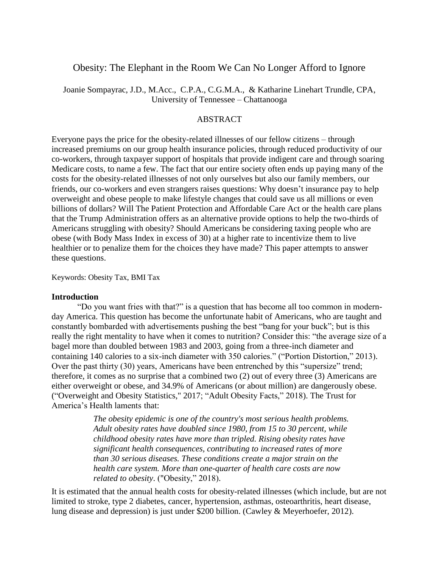## Obesity: The Elephant in the Room We Can No Longer Afford to Ignore

Joanie Sompayrac, J.D., M.Acc., C.P.A., C.G.M.A., & Katharine Linehart Trundle, CPA, University of Tennessee – Chattanooga

### ABSTRACT

Everyone pays the price for the obesity-related illnesses of our fellow citizens – through increased premiums on our group health insurance policies, through reduced productivity of our co-workers, through taxpayer support of hospitals that provide indigent care and through soaring Medicare costs, to name a few. The fact that our entire society often ends up paying many of the costs for the obesity-related illnesses of not only ourselves but also our family members, our friends, our co-workers and even strangers raises questions: Why doesn't insurance pay to help overweight and obese people to make lifestyle changes that could save us all millions or even billions of dollars? Will The Patient Protection and Affordable Care Act or the health care plans that the Trump Administration offers as an alternative provide options to help the two-thirds of Americans struggling with obesity? Should Americans be considering taxing people who are obese (with Body Mass Index in excess of 30) at a higher rate to incentivize them to live healthier or to penalize them for the choices they have made? This paper attempts to answer these questions.

Keywords: Obesity Tax, BMI Tax

#### **Introduction**

"Do you want fries with that?" is a question that has become all too common in modernday America. This question has become the unfortunate habit of Americans, who are taught and constantly bombarded with advertisements pushing the best "bang for your buck"; but is this really the right mentality to have when it comes to nutrition? Consider this: "the average size of a bagel more than doubled between 1983 and 2003, going from a three-inch diameter and containing 140 calories to a six-inch diameter with 350 calories." ("Portion Distortion," 2013). Over the past thirty (30) years, Americans have been entrenched by this "supersize" trend; therefore, it comes as no surprise that a combined two (2) out of every three (3) Americans are either overweight or obese, and 34.9% of Americans (or about million) are dangerously obese. ("Overweight and Obesity Statistics," 2017; "Adult Obesity Facts," 2018). The Trust for America's Health laments that:

> *The obesity epidemic is one of the country's most serious health problems. Adult obesity rates have doubled since 1980, from 15 to 30 percent, while childhood obesity rates have more than tripled. Rising obesity rates have significant health consequences, contributing to increased rates of more than 30 serious diseases. These conditions create a major strain on the health care system. More than one-quarter of health care costs are now related to obesity*. ("Obesity," 2018).

It is estimated that the annual health costs for obesity-related illnesses (which include, but are not limited to stroke, type 2 diabetes, cancer, hypertension, asthmas, osteoarthritis, heart disease, lung disease and depression) is just under \$200 billion. (Cawley & Meyerhoefer, 2012).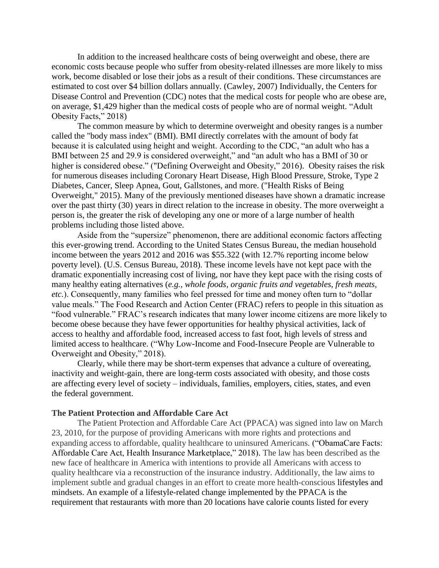In addition to the increased healthcare costs of being overweight and obese, there are economic costs because people who suffer from obesity-related illnesses are more likely to miss work, become disabled or lose their jobs as a result of their conditions. These circumstances are estimated to cost over \$4 billion dollars annually. (Cawley, 2007) Individually, the Centers for Disease Control and Prevention (CDC) notes that the medical costs for people who are obese are, on average, \$1,429 higher than the medical costs of people who are of normal weight. "Adult Obesity Facts," 2018)

The common measure by which to determine overweight and obesity ranges is a number called the "body mass index" (BMI). BMI directly correlates with the amount of body fat because it is calculated using height and weight. According to the CDC, "an adult who has a BMI between 25 and 29.9 is considered overweight," and "an adult who has a BMI of 30 or higher is considered obese." ("Defining Overweight and Obesity," 2016). Obesity raises the risk for numerous diseases including Coronary Heart Disease, High Blood Pressure, Stroke, Type 2 Diabetes, Cancer, Sleep Apnea, Gout, Gallstones, and more. ("Health Risks of Being Overweight," 2015). Many of the previously mentioned diseases have shown a dramatic increase over the past thirty (30) years in direct relation to the increase in obesity. The more overweight a person is, the greater the risk of developing any one or more of a large number of health problems including those listed above.

Aside from the "supersize" phenomenon, there are additional economic factors affecting this ever-growing trend. According to the United States Census Bureau, the median household income between the years 2012 and 2016 was \$55.322 (with 12.7% reporting income below poverty level). (U.S. Census Bureau, 2018). These income levels have not kept pace with the dramatic exponentially increasing cost of living, nor have they kept pace with the rising costs of many healthy eating alternatives (*e.g., whole foods, organic fruits and vegetables, fresh meats, etc.*). Consequently, many families who feel pressed for time and money often turn to "dollar value meals." The Food Research and Action Center (FRAC) refers to people in this situation as "food vulnerable." FRAC's research indicates that many lower income citizens are more likely to become obese because they have fewer opportunities for healthy physical activities, lack of access to healthy and affordable food, increased access to fast foot, high levels of stress and limited access to healthcare. ("Why Low-Income and Food-Insecure People are Vulnerable to Overweight and Obesity," 2018).

Clearly, while there may be short-term expenses that advance a culture of overeating, inactivity and weight-gain, there are long-term costs associated with obesity, and those costs are affecting every level of society – individuals, families, employers, cities, states, and even the federal government.

#### **The Patient Protection and Affordable Care Act**

The Patient Protection and Affordable Care Act (PPACA) was signed into law on March 23, 2010, for the purpose of providing Americans with more rights and protections and expanding access to affordable, quality healthcare to uninsured Americans. ("ObamaCare Facts: Affordable Care Act, Health Insurance Marketplace," 2018). The law has been described as the new face of healthcare in America with intentions to provide all Americans with access to quality healthcare via a reconstruction of the insurance industry. Additionally, the law aims to implement subtle and gradual changes in an effort to create more health-conscious lifestyles and mindsets. An example of a lifestyle-related change implemented by the PPACA is the requirement that restaurants with more than 20 locations have calorie counts listed for every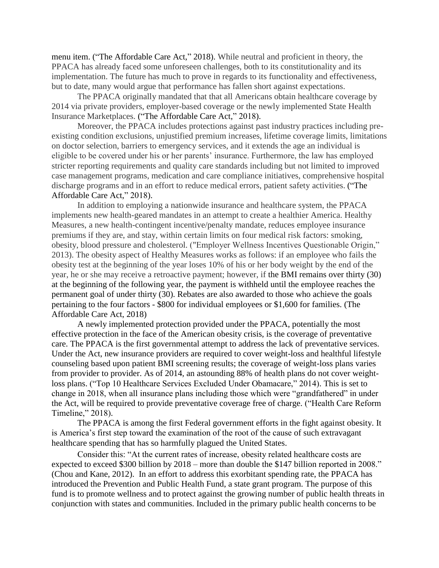menu item. ("The Affordable Care Act," 2018). While neutral and proficient in theory, the PPACA has already faced some unforeseen challenges, both to its constitutionality and its implementation. The future has much to prove in regards to its functionality and effectiveness, but to date, many would argue that performance has fallen short against expectations.

The PPACA originally mandated that that all Americans obtain healthcare coverage by 2014 via private providers, employer-based coverage or the newly implemented State Health Insurance Marketplaces. ("The Affordable Care Act," 2018).

Moreover, the PPACA includes protections against past industry practices including preexisting condition exclusions, unjustified premium increases, lifetime coverage limits, limitations on doctor selection, barriers to emergency services, and it extends the age an individual is eligible to be covered under his or her parents' insurance. Furthermore, the law has employed stricter reporting requirements and quality care standards including but not limited to improved case management programs, medication and care compliance initiatives, comprehensive hospital discharge programs and in an effort to reduce medical errors, patient safety activities. ("The Affordable Care Act," 2018).

In addition to employing a nationwide insurance and healthcare system, the PPACA implements new health-geared mandates in an attempt to create a healthier America. Healthy Measures, a new health-contingent incentive/penalty mandate, reduces employee insurance premiums if they are, and stay, within certain limits on four medical risk factors: smoking, obesity, blood pressure and cholesterol. ("Employer Wellness Incentives Questionable Origin," 2013). The obesity aspect of Healthy Measures works as follows: if an employee who fails the obesity test at the beginning of the year loses 10% of his or her body weight by the end of the year, he or she may receive a retroactive payment; however, if the BMI remains over thirty (30) at the beginning of the following year, the payment is withheld until the employee reaches the permanent goal of under thirty (30). Rebates are also awarded to those who achieve the goals pertaining to the four factors - \$800 for individual employees or \$1,600 for families. (The Affordable Care Act, 2018)

A newly implemented protection provided under the PPACA, potentially the most effective protection in the face of the American obesity crisis, is the coverage of preventative care. The PPACA is the first governmental attempt to address the lack of preventative services. Under the Act, new insurance providers are required to cover weight-loss and healthful lifestyle counseling based upon patient BMI screening results; the coverage of weight-loss plans varies from provider to provider. As of 2014, an astounding 88% of health plans do not cover weightloss plans. ("Top 10 Healthcare Services Excluded Under Obamacare," 2014). This is set to change in 2018, when all insurance plans including those which were "grandfathered" in under the Act, will be required to provide preventative coverage free of charge. ("Health Care Reform Timeline," 2018).

The PPACA is among the first Federal government efforts in the fight against obesity. It is America's first step toward the examination of the root of the cause of such extravagant healthcare spending that has so harmfully plagued the United States.

Consider this: "At the current rates of increase, obesity related healthcare costs are expected to exceed \$300 billion by 2018 – more than double the \$147 billion reported in 2008." (Chou and Kane, 2012). In an effort to address this exorbitant spending rate, the PPACA has introduced the Prevention and Public Health Fund, a state grant program. The purpose of this fund is to promote wellness and to protect against the growing number of public health threats in conjunction with states and communities. Included in the primary public health concerns to be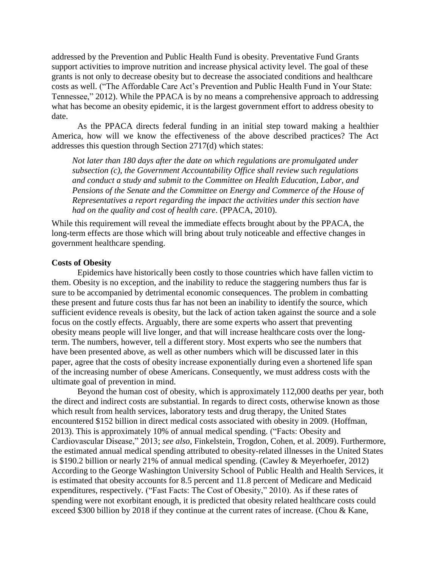addressed by the Prevention and Public Health Fund is obesity. Preventative Fund Grants support activities to improve nutrition and increase physical activity level. The goal of these grants is not only to decrease obesity but to decrease the associated conditions and healthcare costs as well. ("The Affordable Care Act's Prevention and Public Health Fund in Your State: Tennessee," 2012). While the PPACA is by no means a comprehensive approach to addressing what has become an obesity epidemic, it is the largest government effort to address obesity to date.

As the PPACA directs federal funding in an initial step toward making a healthier America, how will we know the effectiveness of the above described practices? The Act addresses this question through Section 2717(d) which states:

*Not later than 180 days after the date on which regulations are promulgated under subsection (c), the Government Accountability Office shall review such regulations and conduct a study and submit to the Committee on Health Education, Labor, and Pensions of the Senate and the Committee on Energy and Commerce of the House of Representatives a report regarding the impact the activities under this section have had on the quality and cost of health care*. (PPACA, 2010).

While this requirement will reveal the immediate effects brought about by the PPACA, the long-term effects are those which will bring about truly noticeable and effective changes in government healthcare spending.

#### **Costs of Obesity**

Epidemics have historically been costly to those countries which have fallen victim to them. Obesity is no exception, and the inability to reduce the staggering numbers thus far is sure to be accompanied by detrimental economic consequences. The problem in combatting these present and future costs thus far has not been an inability to identify the source, which sufficient evidence reveals is obesity, but the lack of action taken against the source and a sole focus on the costly effects. Arguably, there are some experts who assert that preventing obesity means people will live longer, and that will increase healthcare costs over the longterm. The numbers, however, tell a different story. Most experts who see the numbers that have been presented above, as well as other numbers which will be discussed later in this paper, agree that the costs of obesity increase exponentially during even a shortened life span of the increasing number of obese Americans. Consequently, we must address costs with the ultimate goal of prevention in mind.

Beyond the human cost of obesity, which is approximately 112,000 deaths per year, both the direct and indirect costs are substantial. In regards to direct costs, otherwise known as those which result from health services, laboratory tests and drug therapy, the United States encountered \$152 billion in direct medical costs associated with obesity in 2009. (Hoffman, 2013). This is approximately 10% of annual medical spending. ("Facts: Obesity and Cardiovascular Disease," 2013; *see also,* Finkelstein, Trogdon, Cohen, et al. 2009). Furthermore, the estimated annual medical spending attributed to obesity-related illnesses in the United States is \$190.2 billion or nearly 21% of annual medical spending. (Cawley & Meyerhoefer, 2012) According to the George Washington University School of Public Health and Health Services, it is estimated that obesity accounts for 8.5 percent and 11.8 percent of Medicare and Medicaid expenditures, respectively. ("Fast Facts: The Cost of Obesity," 2010). As if these rates of spending were not exorbitant enough, it is predicted that obesity related healthcare costs could exceed \$300 billion by 2018 if they continue at the current rates of increase. (Chou & Kane,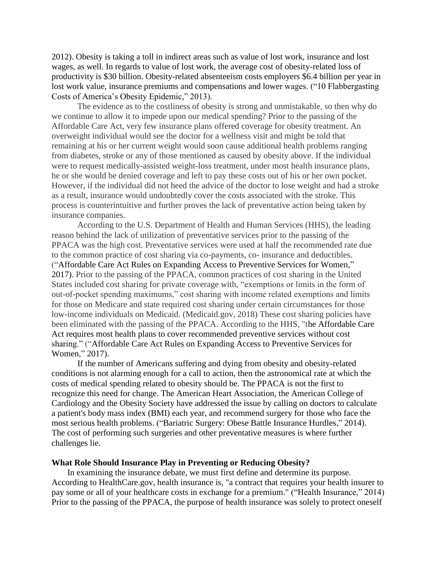2012). Obesity is taking a toll in indirect areas such as value of lost work, insurance and lost wages, as well. In regards to value of lost work, the average cost of obesity-related loss of productivity is \$30 billion. Obesity-related absenteeism costs employers \$6.4 billion per year in lost work value, insurance premiums and compensations and lower wages. ("10 Flabbergasting Costs of America's Obesity Epidemic," 2013).

The evidence as to the costliness of obesity is strong and unmistakable, so then why do we continue to allow it to impede upon our medical spending? Prior to the passing of the Affordable Care Act, very few insurance plans offered coverage for obesity treatment. An overweight individual would see the doctor for a wellness visit and might be told that remaining at his or her current weight would soon cause additional health problems ranging from diabetes, stroke or any of those mentioned as caused by obesity above. If the individual were to request medically-assisted weight-loss treatment, under most health insurance plans, he or she would be denied coverage and left to pay these costs out of his or her own pocket. However, if the individual did not heed the advice of the doctor to lose weight and had a stroke as a result, insurance would undoubtedly cover the costs associated with the stroke. This process is counterintuitive and further proves the lack of preventative action being taken by insurance companies.

According to the U.S. Department of Health and Human Services (HHS), the leading reason behind the lack of utilization of preventative services prior to the passing of the PPACA was the high cost. Preventative services were used at half the recommended rate due to the common practice of cost sharing via co-payments, co- insurance and deductibles. ("Affordable Care Act Rules on Expanding Access to Preventive Services for Women," 2017). Prior to the passing of the PPACA, common practices of cost sharing in the United States included cost sharing for private coverage with, "exemptions or limits in the form of out-of-pocket spending maximums," cost sharing with income related exemptions and limits for those on Medicare and state required cost sharing under certain circumstances for those low-income individuals on Medicaid. (Medicaid.gov, 2018) These cost sharing policies have been eliminated with the passing of the PPACA. According to the HHS, "the Affordable Care Act requires most health plans to cover recommended preventive services without cost sharing." ("Affordable Care Act Rules on Expanding Access to Preventive Services for Women," 2017).

If the number of Americans suffering and dying from obesity and obesity-related conditions is not alarming enough for a call to action, then the astronomical rate at which the costs of medical spending related to obesity should be. The PPACA is not the first to recognize this need for change. The American Heart Association, the American College of Cardiology and the Obesity Society have addressed the issue by calling on doctors to calculate a patient's body mass index (BMI) each year, and recommend surgery for those who face the most serious health problems. ("Bariatric Surgery: Obese Battle Insurance Hurdles," 2014). The cost of performing such surgeries and other preventative measures is where further challenges lie.

#### **What Role Should Insurance Play in Preventing or Reducing Obesity?**

In examining the insurance debate, we must first define and determine its purpose. According to HealthCare.gov, health insurance is, "a contract that requires your health insurer to pay some or all of your healthcare costs in exchange for a premium." ("Health Insurance," 2014) Prior to the passing of the PPACA, the purpose of health insurance was solely to protect oneself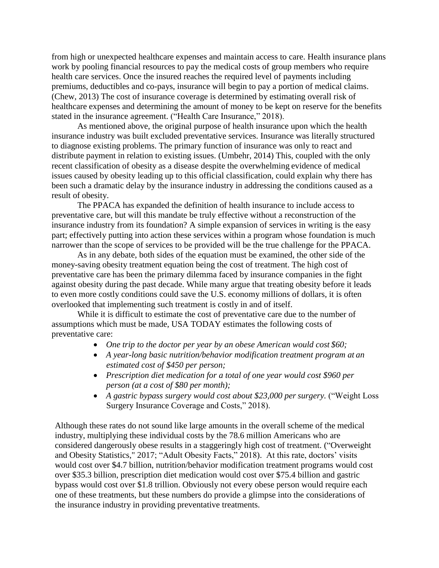from high or unexpected healthcare expenses and maintain access to care. Health insurance plans work by pooling financial resources to pay the medical costs of group members who require health care services. Once the insured reaches the required level of payments including premiums, deductibles and co-pays, insurance will begin to pay a portion of medical claims. (Chew, 2013) The cost of insurance coverage is determined by estimating overall risk of healthcare expenses and determining the amount of money to be kept on reserve for the benefits stated in the insurance agreement. ("Health Care Insurance," 2018).

As mentioned above, the original purpose of health insurance upon which the health insurance industry was built excluded preventative services. Insurance was literally structured to diagnose existing problems. The primary function of insurance was only to react and distribute payment in relation to existing issues. (Umbehr, 2014) This, coupled with the only recent classification of obesity as a disease despite the overwhelming evidence of medical issues caused by obesity leading up to this official classification, could explain why there has been such a dramatic delay by the insurance industry in addressing the conditions caused as a result of obesity.

The PPACA has expanded the definition of health insurance to include access to preventative care, but will this mandate be truly effective without a reconstruction of the insurance industry from its foundation? A simple expansion of services in writing is the easy part; effectively putting into action these services within a program whose foundation is much narrower than the scope of services to be provided will be the true challenge for the PPACA.

As in any debate, both sides of the equation must be examined, the other side of the money-saving obesity treatment equation being the cost of treatment. The high cost of preventative care has been the primary dilemma faced by insurance companies in the fight against obesity during the past decade. While many argue that treating obesity before it leads to even more costly conditions could save the U.S. economy millions of dollars, it is often overlooked that implementing such treatment is costly in and of itself.

While it is difficult to estimate the cost of preventative care due to the number of assumptions which must be made, USA TODAY estimates the following costs of preventative care:

- *One trip to the doctor per year by an obese American would cost \$60;*
- *A year-long basic nutrition/behavior modification treatment program at an estimated cost of \$450 per person;*
- *Prescription diet medication for a total of one year would cost \$960 per person (at a cost of \$80 per month);*
- *A gastric bypass surgery would cost about \$23,000 per surgery.* ("Weight Loss Surgery Insurance Coverage and Costs," 2018).

Although these rates do not sound like large amounts in the overall scheme of the medical industry, multiplying these individual costs by the 78.6 million Americans who are considered dangerously obese results in a staggeringly high cost of treatment. ("Overweight and Obesity Statistics," 2017; "Adult Obesity Facts," 2018). At this rate, doctors' visits would cost over \$4.7 billion, nutrition/behavior modification treatment programs would cost over \$35.3 billion, prescription diet medication would cost over \$75.4 billion and gastric bypass would cost over \$1.8 trillion. Obviously not every obese person would require each one of these treatments, but these numbers do provide a glimpse into the considerations of the insurance industry in providing preventative treatments.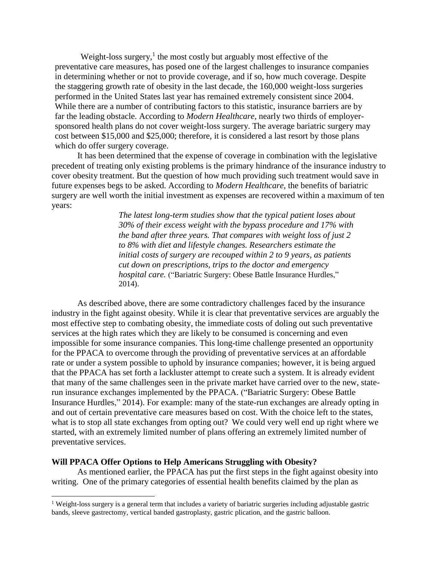Weight-loss surgery, $<sup>1</sup>$  the most costly but arguably most effective of the</sup> preventative care measures, has posed one of the largest challenges to insurance companies in determining whether or not to provide coverage, and if so, how much coverage. Despite the staggering growth rate of obesity in the last decade, the 160,000 weight-loss surgeries performed in the United States last year has remained extremely consistent since 2004. While there are a number of contributing factors to this statistic, insurance barriers are by far the leading obstacle. According to *Modern Healthcare*, nearly two thirds of employersponsored health plans do not cover weight-loss surgery. The average bariatric surgery may cost between \$15,000 and \$25,000; therefore, it is considered a last resort by those plans which do offer surgery coverage.

It has been determined that the expense of coverage in combination with the legislative precedent of treating only existing problems is the primary hindrance of the insurance industry to cover obesity treatment. But the question of how much providing such treatment would save in future expenses begs to be asked. According to *Modern Healthcare*, the benefits of bariatric surgery are well worth the initial investment as expenses are recovered within a maximum of ten years:

> *The latest long-term studies show that the typical patient loses about 30% of their excess weight with the bypass procedure and 17% with the band after three years. That compares with weight loss of just 2 to 8% with diet and lifestyle changes. Researchers estimate the initial costs of surgery are recouped within 2 to 9 years, as patients cut down on prescriptions, trips to the doctor and emergency hospital care.* ("Bariatric Surgery: Obese Battle Insurance Hurdles," 2014).

As described above, there are some contradictory challenges faced by the insurance industry in the fight against obesity. While it is clear that preventative services are arguably the most effective step to combating obesity, the immediate costs of doling out such preventative services at the high rates which they are likely to be consumed is concerning and even impossible for some insurance companies. This long-time challenge presented an opportunity for the PPACA to overcome through the providing of preventative services at an affordable rate or under a system possible to uphold by insurance companies; however, it is being argued that the PPACA has set forth a lackluster attempt to create such a system. It is already evident that many of the same challenges seen in the private market have carried over to the new, staterun insurance exchanges implemented by the PPACA. ("Bariatric Surgery: Obese Battle Insurance Hurdles," 2014). For example: many of the state-run exchanges are already opting in and out of certain preventative care measures based on cost. With the choice left to the states, what is to stop all state exchanges from opting out? We could very well end up right where we started, with an extremely limited number of plans offering an extremely limited number of preventative services.

#### **Will PPACA Offer Options to Help Americans Struggling with Obesity?**

l

As mentioned earlier, the PPACA has put the first steps in the fight against obesity into writing. One of the primary categories of essential health benefits claimed by the plan as

<sup>1</sup> Weight-loss surgery is a general term that includes a variety of bariatric surgeries including adjustable gastric bands, sleeve gastrectomy, vertical banded gastroplasty, gastric plication, and the gastric balloon.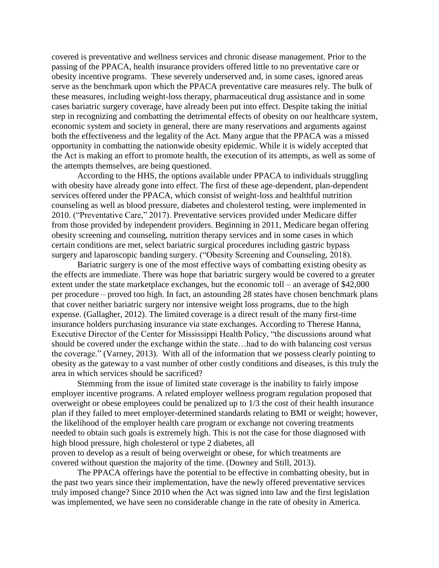covered is preventative and wellness services and chronic disease management. Prior to the passing of the PPACA, health insurance providers offered little to no preventative care or obesity incentive programs. These severely underserved and, in some cases, ignored areas serve as the benchmark upon which the PPACA preventative care measures rely. The bulk of these measures, including weight-loss therapy, pharmaceutical drug assistance and in some cases bariatric surgery coverage, have already been put into effect. Despite taking the initial step in recognizing and combatting the detrimental effects of obesity on our healthcare system, economic system and society in general, there are many reservations and arguments against both the effectiveness and the legality of the Act. Many argue that the PPACA was a missed opportunity in combatting the nationwide obesity epidemic. While it is widely accepted that the Act is making an effort to promote health, the execution of its attempts, as well as some of the attempts themselves, are being questioned.

According to the HHS, the options available under PPACA to individuals struggling with obesity have already gone into effect. The first of these age-dependent, plan-dependent services offered under the PPACA, which consist of weight-loss and healthful nutrition counseling as well as blood pressure, diabetes and cholesterol testing, were implemented in 2010. ("Preventative Care," 2017). Preventative services provided under Medicare differ from those provided by independent providers. Beginning in 2011, Medicare began offering obesity screening and counseling, nutrition therapy services and in some cases in which certain conditions are met, select bariatric surgical procedures including gastric bypass surgery and laparoscopic banding surgery. ("Obesity Screening and Counseling, 2018).

Bariatric surgery is one of the most effective ways of combatting existing obesity as the effects are immediate. There was hope that bariatric surgery would be covered to a greater extent under the state marketplace exchanges, but the economic toll – an average of \$42,000 per procedure – proved too high. In fact, an astounding 28 states have chosen benchmark plans that cover neither bariatric surgery nor intensive weight loss programs, due to the high expense. (Gallagher, 2012). The limited coverage is a direct result of the many first-time insurance holders purchasing insurance via state exchanges. According to Therese Hanna, Executive Director of the Center for Mississippi Health Policy, "the discussions around what should be covered under the exchange within the state…had to do with balancing cost versus the coverage." (Varney, 2013). With all of the information that we possess clearly pointing to obesity as the gateway to a vast number of other costly conditions and diseases, is this truly the area in which services should be sacrificed?

Stemming from the issue of limited state coverage is the inability to fairly impose employer incentive programs. A related employer wellness program regulation proposed that overweight or obese employees could be penalized up to 1/3 the cost of their health insurance plan if they failed to meet employer-determined standards relating to BMI or weight; however, the likelihood of the employer health care program or exchange not covering treatments needed to obtain such goals is extremely high. This is not the case for those diagnosed with high blood pressure, high cholesterol or type 2 diabetes, all proven to develop as a result of being overweight or obese, for which treatments are covered without question the majority of the time. (Downey and Still, 2013).

The PPACA offerings have the potential to be effective in combatting obesity, but in the past two years since their implementation, have the newly offered preventative services truly imposed change? Since 2010 when the Act was signed into law and the first legislation was implemented, we have seen no considerable change in the rate of obesity in America.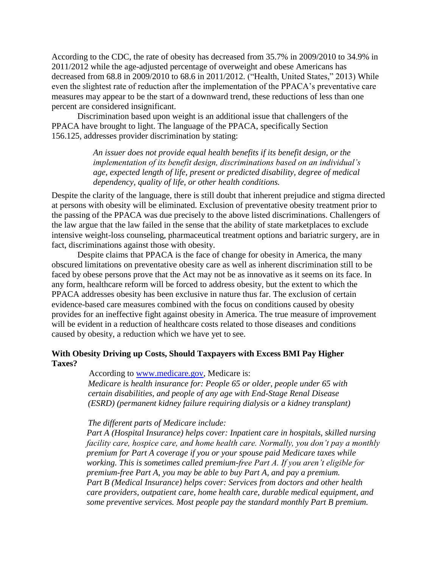According to the CDC, the rate of obesity has decreased from 35.7% in 2009/2010 to 34.9% in 2011/2012 while the age-adjusted percentage of overweight and obese Americans has decreased from 68.8 in 2009/2010 to 68.6 in 2011/2012. ("Health, United States," 2013) While even the slightest rate of reduction after the implementation of the PPACA's preventative care measures may appear to be the start of a downward trend, these reductions of less than one percent are considered insignificant.

Discrimination based upon weight is an additional issue that challengers of the PPACA have brought to light. The language of the PPACA, specifically Section 156.125, addresses provider discrimination by stating:

> *An issuer does not provide equal health benefits if its benefit design, or the implementation of its benefit design, discriminations based on an individual's age, expected length of life, present or predicted disability, degree of medical dependency, quality of life, or other health conditions.*

Despite the clarity of the language, there is still doubt that inherent prejudice and stigma directed at persons with obesity will be eliminated. Exclusion of preventative obesity treatment prior to the passing of the PPACA was due precisely to the above listed discriminations. Challengers of the law argue that the law failed in the sense that the ability of state marketplaces to exclude intensive weight-loss counseling, pharmaceutical treatment options and bariatric surgery, are in fact, discriminations against those with obesity.

Despite claims that PPACA is the face of change for obesity in America, the many obscured limitations on preventative obesity care as well as inherent discrimination still to be faced by obese persons prove that the Act may not be as innovative as it seems on its face. In any form, healthcare reform will be forced to address obesity, but the extent to which the PPACA addresses obesity has been exclusive in nature thus far. The exclusion of certain evidence-based care measures combined with the focus on conditions caused by obesity provides for an ineffective fight against obesity in America. The true measure of improvement will be evident in a reduction of healthcare costs related to those diseases and conditions caused by obesity, a reduction which we have yet to see.

## **With Obesity Driving up Costs, Should Taxpayers with Excess BMI Pay Higher Taxes?**

According to [www.medicare.gov, M](http://www.medicare.gov/)edicare is:

*Medicare is health insurance for: People 65 or older, people under 65 with certain disabilities, and people of any age with End-Stage Renal Disease (ESRD) (permanent kidney failure requiring dialysis or a kidney transplant)*

#### *The different parts of Medicare include:*

*Part A (Hospital Insurance) helps cover: Inpatient care in hospitals, skilled nursing facility care, hospice care, and home health care. Normally, you don't pay a monthly premium for Part A coverage if you or your spouse paid Medicare taxes while working. This is sometimes called premium-free Part A. If you aren't eligible for premium-free Part A, you may be able to buy Part A, and pay a premium. Part B (Medical Insurance) helps cover: Services from doctors and other health care providers, outpatient care, home health care, durable medical equipment, and some preventive services. Most people pay the standard monthly Part B premium.*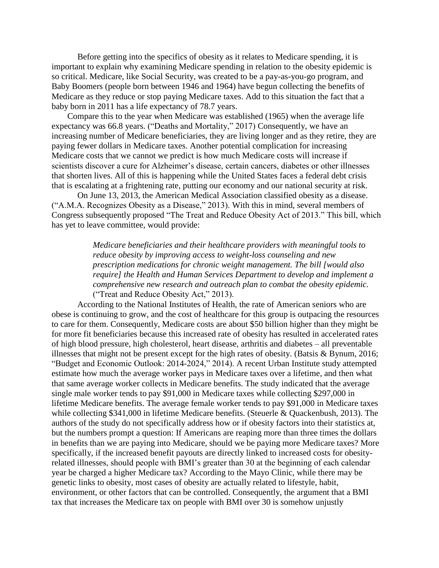Before getting into the specifics of obesity as it relates to Medicare spending, it is important to explain why examining Medicare spending in relation to the obesity epidemic is so critical. Medicare, like Social Security, was created to be a pay-as-you-go program, and Baby Boomers (people born between 1946 and 1964) have begun collecting the benefits of Medicare as they reduce or stop paying Medicare taxes. Add to this situation the fact that a baby born in 2011 has a life expectancy of 78.7 years.

Compare this to the year when Medicare was established (1965) when the average life expectancy was 66.8 years. ("Deaths and Mortality," 2017) Consequently, we have an increasing number of Medicare beneficiaries, they are living longer and as they retire, they are paying fewer dollars in Medicare taxes. Another potential complication for increasing Medicare costs that we cannot we predict is how much Medicare costs will increase if scientists discover a cure for Alzheimer's disease, certain cancers, diabetes or other illnesses that shorten lives. All of this is happening while the United States faces a federal debt crisis that is escalating at a frightening rate, putting our economy and our national security at risk.

On June 13, 2013, the American Medical Association classified obesity as a disease. ("A.M.A. Recognizes Obesity as a Disease," 2013). With this in mind, several members of Congress subsequently proposed "The Treat and Reduce Obesity Act of 2013." This bill, which has yet to leave committee, would provide:

> *Medicare beneficiaries and their healthcare providers with meaningful tools to reduce obesity by improving access to weight-loss counseling and new prescription medications for chronic weight management. The bill [would also require] the Health and Human Services Department to develop and implement a comprehensive new research and outreach plan to combat the obesity epidemic.* ("Treat and Reduce Obesity Act," 2013).

According to the National Institutes of Health, the rate of American seniors who are obese is continuing to grow, and the cost of healthcare for this group is outpacing the resources to care for them. Consequently, Medicare costs are about \$50 billion higher than they might be for more fit beneficiaries because this increased rate of obesity has resulted in accelerated rates of high blood pressure, high cholesterol, heart disease, arthritis and diabetes – all preventable illnesses that might not be present except for the high rates of obesity. (Batsis & Bynum, 2016; "Budget and Economic Outlook: 2014-2024," 2014). A recent Urban Institute study attempted estimate how much the average worker pays in Medicare taxes over a lifetime, and then what that same average worker collects in Medicare benefits. The study indicated that the average single male worker tends to pay \$91,000 in Medicare taxes while collecting \$297,000 in lifetime Medicare benefits. The average female worker tends to pay \$91,000 in Medicare taxes while collecting \$341,000 in lifetime Medicare benefits. (Steuerle & Quackenbush, 2013). The authors of the study do not specifically address how or if obesity factors into their statistics at, but the numbers prompt a question: If Americans are reaping more than three times the dollars in benefits than we are paying into Medicare, should we be paying more Medicare taxes? More specifically, if the increased benefit payouts are directly linked to increased costs for obesityrelated illnesses, should people with BMI's greater than 30 at the beginning of each calendar year be charged a higher Medicare tax? According to the Mayo Clinic, while there may be genetic links to obesity, most cases of obesity are actually related to lifestyle, habit, environment, or other factors that can be controlled. Consequently, the argument that a BMI tax that increases the Medicare tax on people with BMI over 30 is somehow unjustly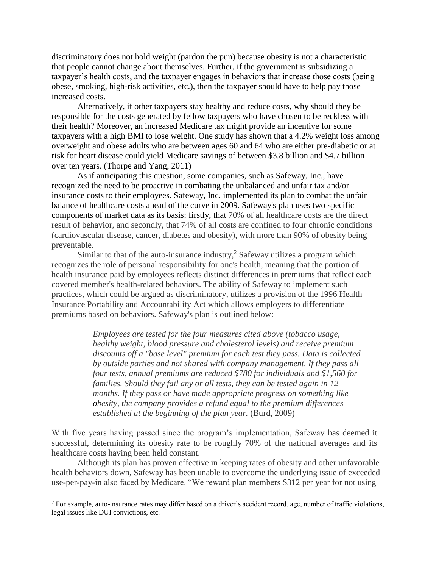discriminatory does not hold weight (pardon the pun) because obesity is not a characteristic that people cannot change about themselves. Further, if the government is subsidizing a taxpayer's health costs, and the taxpayer engages in behaviors that increase those costs (being obese, smoking, high-risk activities, etc.), then the taxpayer should have to help pay those increased costs.

Alternatively, if other taxpayers stay healthy and reduce costs, why should they be responsible for the costs generated by fellow taxpayers who have chosen to be reckless with their health? Moreover, an increased Medicare tax might provide an incentive for some taxpayers with a high BMI to lose weight. One study has shown that a 4.2% weight loss among overweight and obese adults who are between ages 60 and 64 who are either pre-diabetic or at risk for heart disease could yield Medicare savings of between \$3.8 billion and \$4.7 billion over ten years. (Thorpe and Yang, 2011)

As if anticipating this question, some companies, such as Safeway, Inc., have recognized the need to be proactive in combating the unbalanced and unfair tax and/or insurance costs to their employees. Safeway, Inc. implemented its plan to combat the unfair balance of healthcare costs ahead of the curve in 2009. Safeway's plan uses two specific components of market data as its basis: firstly, that 70% of all healthcare costs are the direct result of behavior, and secondly, that 74% of all costs are confined to four chronic conditions (cardiovascular disease, cancer, diabetes and obesity), with more than 90% of obesity being preventable.

Similar to that of the auto-insurance industry,<sup>2</sup> Safeway utilizes a program which recognizes the role of personal responsibility for one's health, meaning that the portion of health insurance paid by employees reflects distinct differences in premiums that reflect each covered member's health-related behaviors. The ability of Safeway to implement such practices, which could be argued as discriminatory, utilizes a provision of the 1996 Health Insurance Portability and Accountability Act which allows employers to differentiate premiums based on behaviors. Safeway's plan is outlined below:

> *Employees are tested for the four measures cited above (tobacco usage, healthy weight, blood pressure and cholesterol levels) and receive premium discounts off a "base level" premium for each test they pass. Data is collected by outside parties and not shared with company management. If they pass all four tests, annual premiums are reduced \$780 for individuals and \$1,560 for families. Should they fail any or all tests, they can be tested again in 12 months. If they pass or have made appropriate progress on something like obesity, the company provides a refund equal to the premium differences established at the beginning of the plan year.* (Burd, 2009)

With five years having passed since the program's implementation, Safeway has deemed it successful, determining its obesity rate to be roughly 70% of the national averages and its healthcare costs having been held constant.

Although its plan has proven effective in keeping rates of obesity and other unfavorable health behaviors down, Safeway has been unable to overcome the underlying issue of exceeded use-per-pay-in also faced by Medicare. "We reward plan members \$312 per year for not using

l

 $2^2$  For example, auto-insurance rates may differ based on a driver's accident record, age, number of traffic violations, legal issues like DUI convictions, etc.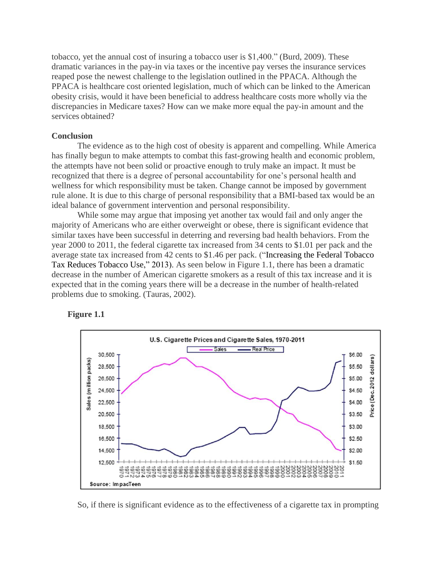tobacco, yet the annual cost of insuring a tobacco user is \$1,400." (Burd, 2009). These dramatic variances in the pay-in via taxes or the incentive pay verses the insurance services reaped pose the newest challenge to the legislation outlined in the PPACA. Although the PPACA is healthcare cost oriented legislation, much of which can be linked to the American obesity crisis, would it have been beneficial to address healthcare costs more wholly via the discrepancies in Medicare taxes? How can we make more equal the pay-in amount and the services obtained?

#### **Conclusion**

The evidence as to the high cost of obesity is apparent and compelling. While America has finally begun to make attempts to combat this fast-growing health and economic problem, the attempts have not been solid or proactive enough to truly make an impact. It must be recognized that there is a degree of personal accountability for one's personal health and wellness for which responsibility must be taken. Change cannot be imposed by government rule alone. It is due to this charge of personal responsibility that a BMI-based tax would be an ideal balance of government intervention and personal responsibility.

While some may argue that imposing yet another tax would fail and only anger the majority of Americans who are either overweight or obese, there is significant evidence that similar taxes have been successful in deterring and reversing bad health behaviors. From the year 2000 to 2011, the federal cigarette tax increased from 34 cents to \$1.01 per pack and the average state tax increased from 42 cents to \$1.46 per pack. ("Increasing the Federal Tobacco Tax Reduces Tobacco Use," 2013). As seen below in Figure 1.1, there has been a dramatic decrease in the number of American cigarette smokers as a result of this tax increase and it is expected that in the coming years there will be a decrease in the number of health-related problems due to smoking. (Tauras, 2002).





So, if there is significant evidence as to the effectiveness of a cigarette tax in prompting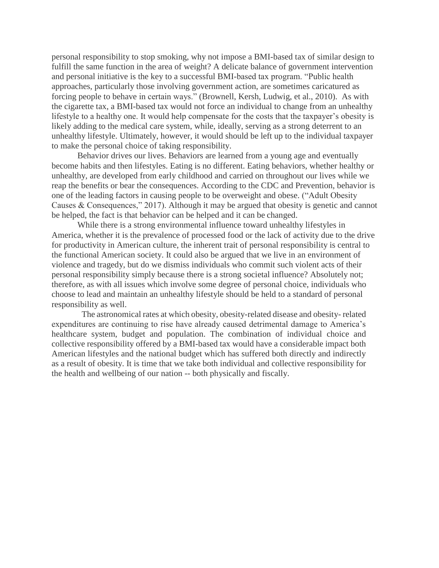personal responsibility to stop smoking, why not impose a BMI-based tax of similar design to fulfill the same function in the area of weight? A delicate balance of government intervention and personal initiative is the key to a successful BMI-based tax program. "Public health approaches, particularly those involving government action, are sometimes caricatured as forcing people to behave in certain ways." (Brownell, Kersh, Ludwig, et al., 2010). As with the cigarette tax, a BMI-based tax would not force an individual to change from an unhealthy lifestyle to a healthy one. It would help compensate for the costs that the taxpayer's obesity is likely adding to the medical care system, while, ideally, serving as a strong deterrent to an unhealthy lifestyle. Ultimately, however, it would should be left up to the individual taxpayer to make the personal choice of taking responsibility.

Behavior drives our lives. Behaviors are learned from a young age and eventually become habits and then lifestyles. Eating is no different. Eating behaviors, whether healthy or unhealthy, are developed from early childhood and carried on throughout our lives while we reap the benefits or bear the consequences. According to the CDC and Prevention, behavior is one of the leading factors in causing people to be overweight and obese. ("Adult Obesity Causes & Consequences," 2017). Although it may be argued that obesity is genetic and cannot be helped, the fact is that behavior can be helped and it can be changed.

While there is a strong environmental influence toward unhealthy lifestyles in America, whether it is the prevalence of processed food or the lack of activity due to the drive for productivity in American culture, the inherent trait of personal responsibility is central to the functional American society. It could also be argued that we live in an environment of violence and tragedy, but do we dismiss individuals who commit such violent acts of their personal responsibility simply because there is a strong societal influence? Absolutely not; therefore, as with all issues which involve some degree of personal choice, individuals who choose to lead and maintain an unhealthy lifestyle should be held to a standard of personal responsibility as well.

The astronomical rates at which obesity, obesity-related disease and obesity- related expenditures are continuing to rise have already caused detrimental damage to America's healthcare system, budget and population. The combination of individual choice and collective responsibility offered by a BMI-based tax would have a considerable impact both American lifestyles and the national budget which has suffered both directly and indirectly as a result of obesity. It is time that we take both individual and collective responsibility for the health and wellbeing of our nation -- both physically and fiscally.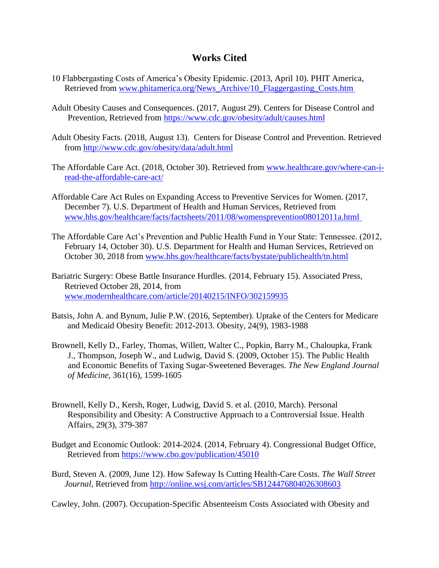## **Works Cited**

- 10 Flabbergasting Costs of America's Obesity Epidemic. (2013, April 10). PHIT America, Retrieved from www.phitamerica.org/News\_Archive/10\_Flaggergasting\_Costs.htm
- Adult Obesity Causes and Consequences. (2017, August 29). Centers for Disease Control and Prevention, Retrieved from<https://www.cdc.gov/obesity/adult/causes.html>
- Adult Obesity Facts. (2018, August 13). Centers for Disease Control and Prevention. Retrieved from<http://www.cdc.gov/obesity/data/adult.html>
- The Affordable Care Act. (2018, October 30). Retrieved from [www.healthcare.gov/where-can-i](http://www.healthcare.gov/where-can-i-read-the-affordable-care-act/)[read-the-affordable-care-act/](http://www.healthcare.gov/where-can-i-read-the-affordable-care-act/)
- Affordable Care Act Rules on Expanding Access to Preventive Services for Women. (2017, December 7). U.S. Department of Health and Human Services, Retrieved from [www.hhs.gov/healthcare/facts/factsheets/2011/08/womensprevention08012011a.html](http://www.hhs.gov/healthcare/facts/factsheets/2011/08/womensprevention08012011a.html)
- The Affordable Care Act's Prevention and Public Health Fund in Your State: Tennessee. (2012, February 14, October 30). U.S. Department for Health and Human Services, Retrieved on October 30, 2018 from [www.hhs.gov/healthcare/facts/bystate/publichealth/tn.html](http://www.hhs.gov/healthcare/facts/bystate/publichealth/tn.html)
- Bariatric Surgery: Obese Battle Insurance Hurdles. (2014, February 15). Associated Press, Retrieved October 28, 2014, from [www.modernhealthcare.com/article/20140215/INFO/302159935](http://www.modernhealthcare.com/article/20140215/INFO/302159935)
- Batsis, John A. and Bynum, Julie P.W. (2016, September). Uptake of the Centers for Medicare and Medicaid Obesity Benefit: 2012-2013. Obesity, 24(9), 1983-1988
- Brownell, Kelly D., Farley, Thomas, Willett, Walter C., Popkin, Barry M., Chaloupka, Frank J., Thompson, Joseph W., and Ludwig, David S. (2009, October 15). The Public Health and Economic Benefits of Taxing Sugar-Sweetened Beverages. *The New England Journal of Medicine,* 361(16), 1599-1605
- Brownell, Kelly D., Kersh, Roger, Ludwig, David S. et al. (2010, March). Personal Responsibility and Obesity: A Constructive Approach to a Controversial Issue. Health Affairs, 29(3), 379-387
- Budget and Economic Outlook: 2014-2024. (2014, February 4). Congressional Budget Office, Retrieved from<https://www.cbo.gov/publication/45010>
- Burd, Steven A. (2009, June 12). How Safeway Is Cutting Health-Care Costs. *The Wall Street Journal*, Retrieved from<http://online.wsj.com/articles/SB124476804026308603>

Cawley, John. (2007). Occupation-Specific Absenteeism Costs Associated with Obesity and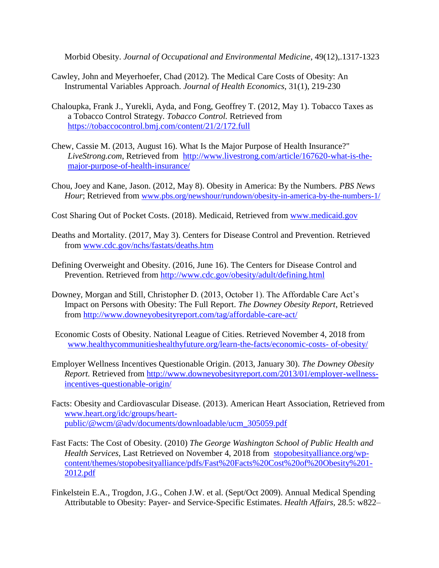Morbid Obesity. *Journal of Occupational and Environmental Medicine*, 49(12),.1317-1323

- Cawley, John and Meyerhoefer, Chad (2012). The Medical Care Costs of Obesity: An Instrumental Variables Approach. *Journal of Health Economics*, 31(1), 219-230
- Chaloupka, Frank J., Yurekli, Ayda, and Fong, Geoffrey T. (2012, May 1). Tobacco Taxes as a Tobacco Control Strategy. *Tobacco Control.* Retrieved from <https://tobaccocontrol.bmj.com/content/21/2/172.full>
- Chew, Cassie M. (2013, August 16). What Is the Major Purpose of Health Insurance?" *LiveStrong.com*, Retrieved from [http://www.livestrong.com/article/167620-what-is-the](http://www.livestrong.com/article/167620-what-is-the-major-purpose-of-health-insurance/)[major-purpose-of-health-insurance/](http://www.livestrong.com/article/167620-what-is-the-major-purpose-of-health-insurance/)
- Chou, Joey and Kane, Jason. (2012, May 8). Obesity in America: By the Numbers. *PBS News Hour*; Retrieved from [www.pbs.org/newshour/rundown/obesity-in-america-by-the-numbers-1/](http://www.pbs.org/newshour/rundown/obesity-in-america-by-the-numbers-1/)
- Cost Sharing Out of Pocket Costs. (2018). Medicaid, Retrieved from [www.medicaid.gov](http://www.medicaid.gov/)
- Deaths and Mortality. (2017, May 3). Centers for Disease Control and Prevention. Retrieved from [www.cdc.gov/nchs/fastats/deaths.htm](http://www.cdc.gov/nchs/fastats/deaths.htm)
- Defining Overweight and Obesity. (2016, June 16). The Centers for Disease Control and Prevention. Retrieved from<http://www.cdc.gov/obesity/adult/defining.html>
- Downey, Morgan and Still, Christopher D. (2013, October 1). The Affordable Care Act's Impact on Persons with Obesity: The Full Report. *The Downey Obesity Report*, Retrieved from<http://www.downeyobesityreport.com/tag/affordable-care-act/>
- Economic Costs of Obesity. National League of Cities. Retrieved November 4, 2018 from [www.healthycommunitieshealthyfuture.org/learn-the-facts/economic-costs-](http://www.healthycommunitieshealthyfuture.org/learn-the-facts/economic-costs-) of-obesity/
- Employer Wellness Incentives Questionable Origin. (2013, January 30). *The Downey Obesity Report.* Retrieved from [http://www.downeyobesityreport.com/2013/01/employer-wellness](http://www.downeyobesityreport.com/2013/01/employer-wellness-incentives-questionable-origin/)[incentives-questionable-origin/](http://www.downeyobesityreport.com/2013/01/employer-wellness-incentives-questionable-origin/)
- Facts: Obesity and Cardiovascular Disease. (2013). American Heart Association, Retrieved from [www.heart.org/idc/groups/heart](http://www.heart.org/idc/groups/heart-public/@wcm/@adv/documents/downloadable/ucm_305059.pdf)[public/@wcm/@adv/documents/downloadable/ucm\\_305059.pdf](http://www.heart.org/idc/groups/heart-public/@wcm/@adv/documents/downloadable/ucm_305059.pdf)
- Fast Facts: The Cost of Obesity*.* (2010) *The George Washington School of Public Health and Health Services,* Last Retrieved on November 4, 2018 fromstopobesityalliance.org/wpcontent/themes/stopobesityalliance/pdfs/Fast%20Facts%20Cost%20of%20Obesity%201- 2012.pdf
- Finkelstein E.A., Trogdon, J.G., Cohen J.W. et al. (Sept/Oct 2009). Annual Medical Spending Attributable to Obesity: Payer- and Service-Specific Estimates. *Health Affairs,* 28.5: w822–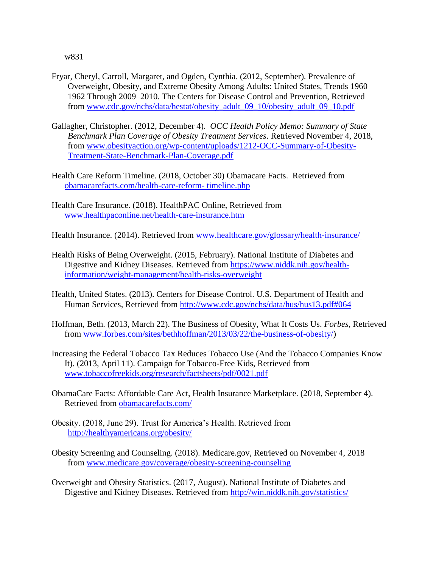w831

- Fryar, Cheryl, Carroll, Margaret, and Ogden, Cynthia. (2012, September). Prevalence of Overweight, Obesity, and Extreme Obesity Among Adults: United States, Trends 1960– 1962 Through 2009–2010. The Centers for Disease Control and Prevention, Retrieved from [www.cdc.gov/nchs/data/hestat/obesity\\_adult\\_09\\_10/obesity\\_adult\\_09\\_10.pdf](http://www.cdc.gov/nchs/data/hestat/obesity_adult_09_10/obesity_adult_09_10.pdf)
- Gallagher, Christopher. (2012, December 4). *OCC Health Policy Memo: Summary of State Benchmark Plan Coverage of Obesity Treatment Services*. Retrieved November 4, 2018, from [www.obesityaction.org/wp-content/uploads/1212-OCC-Summary-of-Obesity-](http://www.obesityaction.org/wp-content/uploads/1212-OCC-Summary-of-Obesity-Treatment-State-Benchmark-Plan-Coverage.pdf)[Treatment-State-Benchmark-Plan-Coverage.pdf](http://www.obesityaction.org/wp-content/uploads/1212-OCC-Summary-of-Obesity-Treatment-State-Benchmark-Plan-Coverage.pdf)
- Health Care Reform Timeline. (2018, October 30) Obamacare Facts. Retrieved from [obamacarefacts.com/health-care-reform-](http://obamacarefacts.com/health-care-reform-%20timeline.php) timeline.php
- Health Care Insurance. (2018). HealthPAC Online, Retrieved from [www.healthpaconline.net/health-care-insurance.htm](http://www.healthpaconline.net/health-care-insurance.htm)

Health Insurance. (2014). Retrieved from [www.healthc](http://www.health/)are.[gov/glossary/health-insurance/](http://www.healthcare.gov/glossary/health-insurance/)

- Health Risks of Being Overweight. (2015, February). National Institute of Diabetes and Digestive and Kidney Diseases. Retrieved from [https://www.niddk.nih.gov/health](http://www.nhlbi.nih.gov/health/health-topics/topics/obe/risks.html)[information/weight-management/health-risks-overweight](http://www.nhlbi.nih.gov/health/health-topics/topics/obe/risks.html)
- Health, United States. (2013). Centers for Disease Control. U.S. Department of Health and Human Services, Retrieved from<http://www.cdc.gov/nchs/data/hus/hus13.pdf#064>
- Hoffman, Beth. (2013, March 22). The Business of Obesity, What It Costs Us. *Forbes*, Retrieved from [www.forbes.com/sites/bethhoffman/2013/03/22/the-business-of-obesity/\)](http://www.forbes.com/sites/bethhoffman/2013/03/22/the-business-of-obesity/)
- Increasing the Federal Tobacco Tax Reduces Tobacco Use (And the Tobacco Companies Know It). (2013, April 11). Campaign for Tobacco-Free Kids, Retrieved from [www.tobaccofreekids.org/research/factsheets/pdf/0021.pdf](http://www.tobaccofreekids.org/research/factsheets/pdf/0021.pdf)
- ObamaCare Facts: Affordable Care Act, Health Insurance Marketplace. (2018, September 4). Retrieved from [obamacarefacts.com/](http://obamacarefacts.com/)
- Obesity. (2018, June 29). Trust for America's Health. Retrieved from <http://healthyamericans.org/obesity/>
- Obesity Screening and Counseling. (2018). Medicare.gov, Retrieved on November 4, 2018 from www.medicare.gov/coverage/obesity-screening-counseling
- Overweight and Obesity Statistics. (2017, August). National Institute of Diabetes and Digestive and Kidney Diseases. Retrieved from<http://win.niddk.nih.gov/statistics/>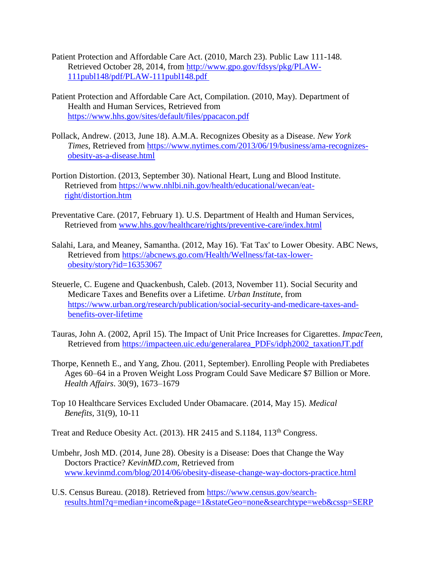- Patient Protection and Affordable Care Act. (2010, March 23). Public Law 111-148. Retrieved October 28, 2014, from [http://www.gpo.gov/fdsys/pkg/PLAW-](http://www.gpo.gov/fdsys/pkg/PLAW-111publ148/pdf/PLAW-111publ148.pdf)[111publ148/pdf/PLAW-111publ148.pdf](http://www.gpo.gov/fdsys/pkg/PLAW-111publ148/pdf/PLAW-111publ148.pdf)
- Patient Protection and Affordable Care Act, Compilation. (2010, May). Department of Health and Human Services, Retrieved from <https://www.hhs.gov/sites/default/files/ppacacon.pdf>
- Pollack, Andrew. (2013, June 18). A.M.A. Recognizes Obesity as a Disease. *New York Times,* Retrieved from [https://www.nytimes.com/2013/06/19/business/ama-recognizes](https://www.nytimes.com/2013/06/19/business/ama-recognizes-obesity-as-a-disease.html)[obesity-as-a-disease.html](https://www.nytimes.com/2013/06/19/business/ama-recognizes-obesity-as-a-disease.html)
- Portion Distortion. (2013, September 30). National Heart, Lung and Blood Institute. Retrieved from [https://www.nhlbi.nih.gov/health/educational/wecan/eat](https://www.nhlbi.nih.gov/health/educational/wecan/eat-right/distortion.htm)[right/distortion.htm](https://www.nhlbi.nih.gov/health/educational/wecan/eat-right/distortion.htm)
- Preventative Care. (2017, February 1). U.S. Department of Health and Human Services, Retrieved from [www.hhs.gov/healthcare/rights/preventive-care/index.html](http://www.hhs.gov/healthcare/rights/preventive-care/index.html)
- Salahi, Lara, and Meaney, Samantha. (2012, May 16). 'Fat Tax' to Lower Obesity. ABC News, Retrieved from [https://abcnews.go.com/Health/Wellness/fat-tax-lower](https://abcnews.go.com/Health/Wellness/fat-tax-lower-obesity/story?id=16353067)[obesity/story?id=16353067](https://abcnews.go.com/Health/Wellness/fat-tax-lower-obesity/story?id=16353067)
- Steuerle, C. Eugene and Quackenbush, Caleb. (2013, November 11). Social Security and Medicare Taxes and Benefits over a Lifetime. *Urban Institute*, from [https://www.urban.org/research/publication/social-security-and-medicare-taxes-and](https://www.urban.org/research/publication/social-security-and-medicare-taxes-and-benefits-over-lifetime)[benefits-over-lifetime](https://www.urban.org/research/publication/social-security-and-medicare-taxes-and-benefits-over-lifetime)
- Tauras, John A. (2002, April 15). The Impact of Unit Price Increases for Cigarettes. *ImpacTeen,* Retrieved from https://impacteen.uic.edu/generalarea\_PDFs/idph2002\_taxationJT.pdf
- Thorpe, Kenneth E., and Yang, Zhou. (2011, September). Enrolling People with Prediabetes Ages 60–64 in a Proven Weight Loss Program Could Save Medicare \$7 Billion or More. *Health Affairs*. 30(9), 1673–1679
- Top 10 Healthcare Services Excluded Under Obamacare. (2014, May 15). *Medical Benefits,* 31(9), 10-11

Treat and Reduce Obesity Act. (2013). HR 2415 and S.1184, 113<sup>th</sup> Congress.

- Umbehr, Josh MD. (2014, June 28). Obesity is a Disease: Does that Change the Way Doctors Practice? *KevinMD.com*, Retrieved from [www.kevinmd.com/blog/2014/06/obesity-disease-change-way-doctors-practice.html](http://www.kevinmd.com/blog/2014/06/obesity-disease-change-way-doctors-practice.html)
- U.S. Census Bureau. (2018). Retrieved from [https://www.census.gov/search](https://www.census.gov/search-results.html?q=median+income&page=1&stateGeo=none&searchtype=web&cssp=SERP)[results.html?q=median+income&page=1&stateGeo=none&searchtype=web&cssp=SERP](https://www.census.gov/search-results.html?q=median+income&page=1&stateGeo=none&searchtype=web&cssp=SERP)